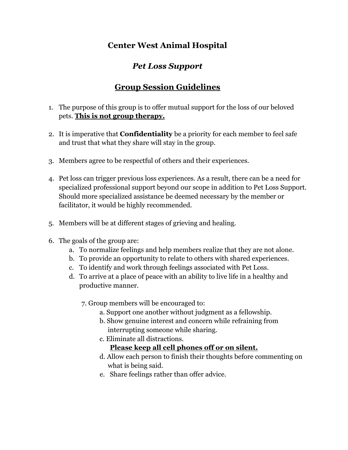## **Center West Animal Hospital**

## *Pet Loss Support*

## **Group Session Guidelines**

- 1. The purpose of this group is to offer mutual support for the loss of our beloved pets. **This is not group therapy.**
- 2. It is imperative that **Confidentiality** be a priority for each member to feel safe and trust that what they share will stay in the group.
- 3. Members agree to be respectful of others and their experiences.
- 4. Pet loss can trigger previous loss experiences. As a result, there can be a need for specialized professional support beyond our scope in addition to Pet Loss Support. Should more specialized assistance be deemed necessary by the member or facilitator, it would be highly recommended.
- 5. Members will be at different stages of grieving and healing.
- 6. The goals of the group are:
	- a. To normalize feelings and help members realize that they are not alone.
	- b. To provide an opportunity to relate to others with shared experiences.
	- c. To identify and work through feelings associated with Pet Loss.
	- d. To arrive at a place of peace with an ability to live life in a healthy and productive manner.
		- 7. Group members will be encouraged to:
			- a. Support one another without judgment as a fellowship.
			- b. Show genuine interest and concern while refraining from interrupting someone while sharing.
			- c. Eliminate all distractions.

## **Please keep all cell phones off or on silent.**

- d. Allow each person to finish their thoughts before commenting on what is being said.
- e. Share feelings rather than offer advice.